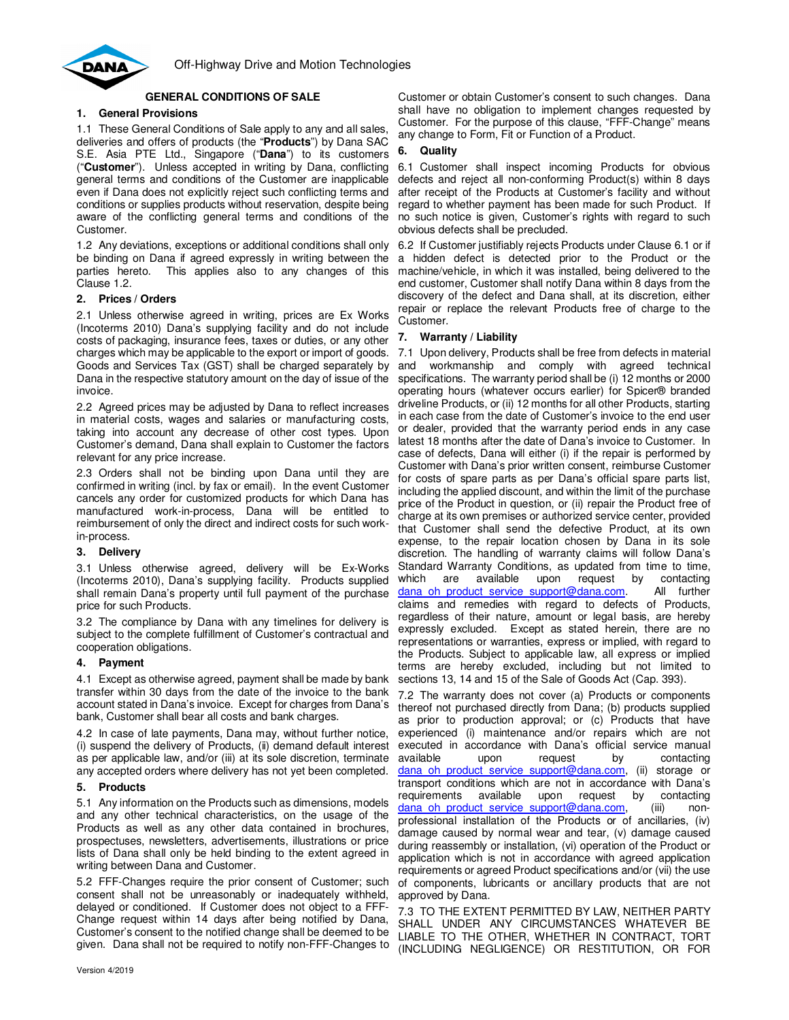

# **GENERAL CONDITIONS OF SALE**

# **1. General Provisions**

1.1 These General Conditions of Sale apply to any and all sales, deliveries and offers of products (the "**Products**") by Dana SAC S.E. Asia PTE Ltd., Singapore ("**Dana**") to its customers ("**Customer**"). Unless accepted in writing by Dana, conflicting general terms and conditions of the Customer are inapplicable even if Dana does not explicitly reject such conflicting terms and conditions or supplies products without reservation, despite being aware of the conflicting general terms and conditions of the Customer.

1.2 Any deviations, exceptions or additional conditions shall only be binding on Dana if agreed expressly in writing between the parties hereto. This applies also to any changes of this Clause 1.2.

## **2. Prices / Orders**

2.1 Unless otherwise agreed in writing, prices are Ex Works (Incoterms 2010) Dana's supplying facility and do not include costs of packaging, insurance fees, taxes or duties, or any other charges which may be applicable to the export or import of goods. Goods and Services Tax (GST) shall be charged separately by Dana in the respective statutory amount on the day of issue of the invoice.

2.2 Agreed prices may be adjusted by Dana to reflect increases in material costs, wages and salaries or manufacturing costs, taking into account any decrease of other cost types. Upon Customer's demand, Dana shall explain to Customer the factors relevant for any price increase.

2.3 Orders shall not be binding upon Dana until they are confirmed in writing (incl. by fax or email). In the event Customer cancels any order for customized products for which Dana has manufactured work-in-process, Dana will be entitled to reimbursement of only the direct and indirect costs for such workin-process.

## **3. Delivery**

3.1 Unless otherwise agreed, delivery will be Ex-Works (Incoterms 2010), Dana's supplying facility. Products supplied shall remain Dana's property until full payment of the purchase price for such Products.

3.2 The compliance by Dana with any timelines for delivery is subject to the complete fulfillment of Customer's contractual and cooperation obligations.

## **4. Payment**

4.1 Except as otherwise agreed, payment shall be made by bank transfer within 30 days from the date of the invoice to the bank account stated in Dana's invoice. Except for charges from Dana's bank, Customer shall bear all costs and bank charges.

4.2 In case of late payments, Dana may, without further notice, (i) suspend the delivery of Products, (ii) demand default interest as per applicable law, and/or (iii) at its sole discretion, terminate any accepted orders where delivery has not yet been completed.

## **5. Products**

5.1 Any information on the Products such as dimensions, models and any other technical characteristics, on the usage of the Products as well as any other data contained in brochures, prospectuses, newsletters, advertisements, illustrations or price lists of Dana shall only be held binding to the extent agreed in writing between Dana and Customer.

5.2 FFF-Changes require the prior consent of Customer; such consent shall not be unreasonably or inadequately withheld, delayed or conditioned. If Customer does not object to a FFF-Change request within 14 days after being notified by Dana, Customer's consent to the notified change shall be deemed to be given. Dana shall not be required to notify non-FFF-Changes to

Customer or obtain Customer's consent to such changes. Dana shall have no obligation to implement changes requested by Customer. For the purpose of this clause, "FFF-Change" means any change to Form, Fit or Function of a Product.

## **6. Quality**

6.1 Customer shall inspect incoming Products for obvious defects and reject all non-conforming Product(s) within 8 days after receipt of the Products at Customer's facility and without regard to whether payment has been made for such Product. If no such notice is given, Customer's rights with regard to such obvious defects shall be precluded.

6.2 If Customer justifiably rejects Products under Clause 6.1 or if a hidden defect is detected prior to the Product or the machine/vehicle, in which it was installed, being delivered to the end customer, Customer shall notify Dana within 8 days from the discovery of the defect and Dana shall, at its discretion, either repair or replace the relevant Products free of charge to the Customer.

#### **7. Warranty / Liability**

7.1 Upon delivery, Products shall be free from defects in material and workmanship and comply with agreed technical specifications. The warranty period shall be (i) 12 months or 2000 operating hours (whatever occurs earlier) for Spicer® branded driveline Products, or (ii) 12 months for all other Products, starting in each case from the date of Customer's invoice to the end user or dealer, provided that the warranty period ends in any case latest 18 months after the date of Dana's invoice to Customer. In case of defects, Dana will either (i) if the repair is performed by Customer with Dana's prior written consent, reimburse Customer for costs of spare parts as per Dana's official spare parts list, including the applied discount, and within the limit of the purchase price of the Product in question, or (ii) repair the Product free of charge at its own premises or authorized service center, provided that Customer shall send the defective Product, at its own expense, to the repair location chosen by Dana in its sole discretion. The handling of warranty claims will follow Dana's Standard Warranty Conditions, as updated from time to time, which are available upon request by contacting dana oh product service support@dana.com. All further claims and remedies with regard to defects of Products, regardless of their nature, amount or legal basis, are hereby expressly excluded. Except as stated herein, there are no representations or warranties, express or implied, with regard to the Products. Subject to applicable law, all express or implied terms are hereby excluded, including but not limited to sections 13, 14 and 15 of the Sale of Goods Act (Cap. 393).

7.2 The warranty does not cover (a) Products or components thereof not purchased directly from Dana; (b) products supplied as prior to production approval; or (c) Products that have experienced (i) maintenance and/or repairs which are not executed in accordance with Dana's official service manual available upon request by contacting dana oh product service support@dana.com, (ii) storage or transport conditions which are not in accordance with Dana's requirements available upon request by contacting dana\_oh\_product\_service\_support@dana.com, (iii) nonprofessional installation of the Products or of ancillaries, (iv) damage caused by normal wear and tear, (v) damage caused during reassembly or installation, (vi) operation of the Product or application which is not in accordance with agreed application requirements or agreed Product specifications and/or (vii) the use of components, lubricants or ancillary products that are not approved by Dana.

7.3 TO THE EXTENT PERMITTED BY LAW, NEITHER PARTY SHALL UNDER ANY CIRCUMSTANCES WHATEVER BE LIABLE TO THE OTHER, WHETHER IN CONTRACT, TORT (INCLUDING NEGLIGENCE) OR RESTITUTION, OR FOR